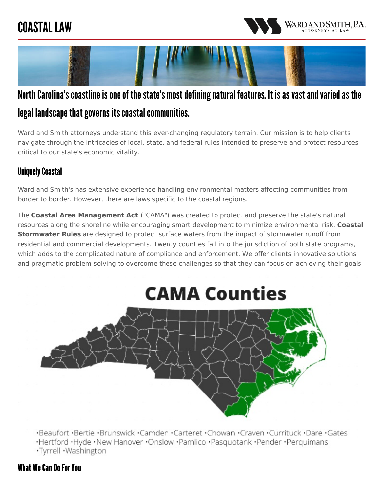## COASTAL LAW





### North Carolina's coastline is one of the state's most defining natural features. It is as vast and varied as the legal landscape that governs its coastal communities.

Ward and Smith attorneys understand this ever-changing regulatory terrain. Our mission is to help clients navigate through the intricacies of local, state, and federal rules intended to preserve and protect resources critical to our state's economic vitality.

#### **Uniquely Coastal**

Ward and Smith's has extensive experience handling environmental matters affecting communities from border to border. However, there are laws specific to the coastal regions.

The **Coastal Area [Management](https://deq.nc.gov/about/divisions/coastal-management/coastal-management-rules/cama) Act** ("CAMA") was created to protect and preserve the state's natural resources along the shoreline while encouraging smart development to minimize [environmental](https://deq.nc.gov/about/divisions/energy-mineral-land-resources/energy-mineral-land-rules/stormwater-program/coastal-stormwater-rules) risk. **Coastal Stormwater Rules** are designed to protect surface waters from the impact of stormwater runoff from residential and commercial developments. Twenty counties fall into the jurisdiction of both state programs, which adds to the complicated nature of compliance and enforcement. We offer clients innovative solutions and pragmatic problem-solving to overcome these challenges so that they can focus on achieving their goals.

# **CAMA Counties**



·Beaufort ·Bertie ·Brunswick ·Camden ·Carteret ·Chowan ·Craven ·Currituck ·Dare ·Gates

·Hertford ·Hyde ·New Hanover ·Onslow ·Pamlico ·Pasquotank ·Pender ·Perquimans

·Tyrrell · Washington

#### What We Can Do For You